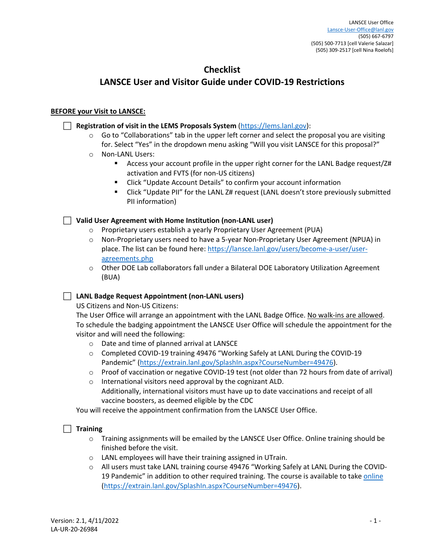# **Checklist**

# **LANSCE User and Visitor Guide under COVID‐19 Restrictions**

# **BEFORE your Visit to LANSCE:**

# **Registration of visit in the LEMS Proposals System** (https://lems.lanl.gov):

- $\circ$  Go to "Collaborations" tab in the upper left corner and select the proposal you are visiting for. Select "Yes" in the dropdown menu asking "Will you visit LANSCE for this proposal?"
- o Non‐LANL Users:
	- Access your account profile in the upper right corner for the LANL Badge request/Z# activation and FVTS (for non‐US citizens)
	- Click "Update Account Details" to confirm your account information
	- Click "Update PII" for the LANL Z# request (LANL doesn't store previously submitted PII information)

# **Valid User Agreement with Home Institution (non‐LANL user)**

- o Proprietary users establish a yearly Proprietary User Agreement (PUA)
- o Non‐Proprietary users need to have a 5‐year Non‐Proprietary User Agreement (NPUA) in place. The list can be found here: https://lansce.lanl.gov/users/become‐a‐user/user‐ agreements.php
- o Other DOE Lab collaborators fall under a Bilateral DOE Laboratory Utilization Agreement (BUA)

# **LANL Badge Request Appointment (non‐LANL users)**

US Citizens and Non‐US Citizens:

The User Office will arrange an appointment with the LANL Badge Office. No walk-ins are allowed. To schedule the badging appointment the LANSCE User Office will schedule the appointment for the visitor and will need the following:

- o Date and time of planned arrival at LANSCE
- o Completed COVID‐19 training 49476 "Working Safely at LANL During the COVID‐19 Pandemic" (https://extrain.lanl.gov/SplashIn.aspx?CourseNumber=49476).
- o Proof of vaccination or negative COVID‐19 test (not older than 72 hours from date of arrival)
- o International visitors need approval by the cognizant ALD. Additionally, international visitors must have up to date vaccinations and receipt of all vaccine boosters, as deemed eligible by the CDC

You will receive the appointment confirmation from the LANSCE User Office.

# **Training**

- o Training assignments will be emailed by the LANSCE User Office. Online training should be finished before the visit.
- o LANL employees will have their training assigned in UTrain.
- o All users must take LANL training course 49476 "Working Safely at LANL During the COVID‐ 19 Pandemic" in addition to other required training. The course is available to take online (https://extrain.lanl.gov/SplashIn.aspx?CourseNumber=49476).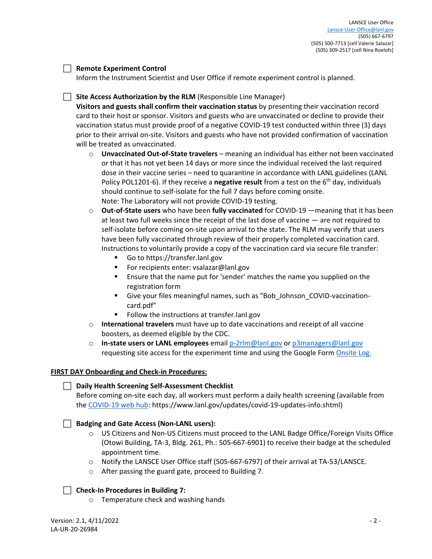# **Remote Experiment Control**

Inform the Instrument Scientist and User Office if remote experiment control is planned.

# **Site Access Authorization by the RLM** (Responsible Line Manager)

**Visitors and guests shall confirm their vaccination status** by presenting their vaccination record card to their host or sponsor. Visitors and guests who are unvaccinated or decline to provide their vaccination status must provide proof of a negative COVID‐19 test conducted within three (3) days prior to their arrival on‐site. Visitors and guests who have not provided confirmation of vaccination will be treated as unvaccinated.

- o **Unvaccinated Out‐of‐State travelers** meaning an individual has either not been vaccinated or that it has not yet been 14 days or more since the individual received the last required dose in their vaccine series – need to quarantine in accordance with LANL guidelines (LANL Policy POL1201‐6). If they receive a **negative result** from a test on the 6th day, individuals should continue to self‐isolate for the full 7 days before coming onsite. Note: The Laboratory will not provide COVID‐19 testing.
- o **Out‐of‐State users** who have been **fully vaccinated** for COVID‐19 —meaning that it has been at least two full weeks since the receipt of the last dose of vaccine — are not required to self-isolate before coming on-site upon arrival to the state. The RLM may verify that users have been fully vaccinated through review of their properly completed vaccination card. Instructions to voluntarily provide a copy of the vaccination card via secure file transfer:
	- Go to https://transfer.lanl.gov
	- For recipients enter: vsalazar@lanl.gov
	- Ensure that the name put for 'sender' matches the name you supplied on the registration form
	- Give your files meaningful names, such as "Bob\_Johnson\_COVID-vaccinationcard.pdf"
	- Follow the instructions at transfer.lanl.gov
- o **International travelers** must have up to date vaccinations and receipt of all vaccine boosters, as deemed eligible by the CDC.
- o **In‐state users or LANL employees** email p‐2rlm@lanl.gov or p3managers@lanl.gov requesting site access for the experiment time and using the Google Form Onsite Log.

# **FIRST DAY Onboarding and Check‐in Procedures:**

# **Daily Health Screening Self‐Assessment Checklist**

Before coming on‐site each day, all workers must perform a daily health screening (available from the COVID-19 web hub: https://www.lanl.gov/updates/covid-19-updates-info.shtml)

# **Badging and Gate Access (Non‐LANL users):**

- o US Citizens and Non‐US Citizens must proceed to the LANL Badge Office/Foreign Visits Office (Otowi Building, TA‐3, Bldg. 261, Ph.: 505‐667‐6901) to receive their badge at the scheduled appointment time.
- o Notify the LANSCE User Office staff (505‐667‐6797) of their arrival at TA‐53/LANSCE.
- o After passing the guard gate, proceed to Building 7.

# **Check‐In Procedures in Building 7:**

o Temperature check and washing hands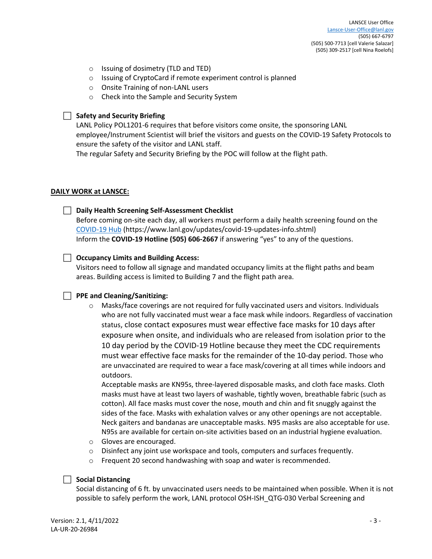- o Issuing of dosimetry (TLD and TED)
- o Issuing of CryptoCard if remote experiment control is planned
- o Onsite Training of non‐LANL users
- o Check into the Sample and Security System

#### **Safety and Security Briefing**

LANL Policy POL1201‐6 requires that before visitors come onsite, the sponsoring LANL employee/Instrument Scientist will brief the visitors and guests on the COVID‐19 Safety Protocols to ensure the safety of the visitor and LANL staff.

The regular Safety and Security Briefing by the POC will follow at the flight path.

#### **DAILY WORK at LANSCE:**

# **Daily Health Screening Self‐Assessment Checklist**

Before coming on‐site each day, all workers must perform a daily health screening found on the COVID‐19 Hub (https://www.lanl.gov/updates/covid‐19‐updates‐info.shtml) Inform the **COVID‐19 Hotline (505) 606‐2667** if answering "yes" to any of the questions.

# **Occupancy Limits and Building Access:**

Visitors need to follow all signage and mandated occupancy limits at the flight paths and beam areas. Building access is limited to Building 7 and the flight path area.

# **PPE and Cleaning/Sanitizing:**

 $\circ$  Masks/face coverings are not required for fully vaccinated users and visitors. Individuals who are not fully vaccinated must wear a face mask while indoors. Regardless of vaccination status, close contact exposures must wear effective face masks for 10 days after exposure when onsite, and individuals who are released from isolation prior to the 10 day period by the COVID‐19 Hotline because they meet the CDC requirements must wear effective face masks for the remainder of the 10‐day period. Those who are unvaccinated are required to wear a face mask/covering at all times while indoors and outdoors.

Acceptable masks are KN95s, three‐layered disposable masks, and cloth face masks. Cloth masks must have at least two layers of washable, tightly woven, breathable fabric (such as cotton). All face masks must cover the nose, mouth and chin and fit snuggly against the sides of the face. Masks with exhalation valves or any other openings are not acceptable. Neck gaiters and bandanas are unacceptable masks. N95 masks are also acceptable for use. N95s are available for certain on‐site activities based on an industrial hygiene evaluation.

- o Gloves are encouraged.
- $\circ$  Disinfect any joint use workspace and tools, computers and surfaces frequently.
- o Frequent 20 second handwashing with soap and water is recommended.

# **Social Distancing**

Social distancing of 6 ft. by unvaccinated users needs to be maintained when possible. When it is not possible to safely perform the work, LANL protocol OSH-ISH\_QTG-030 Verbal Screening and